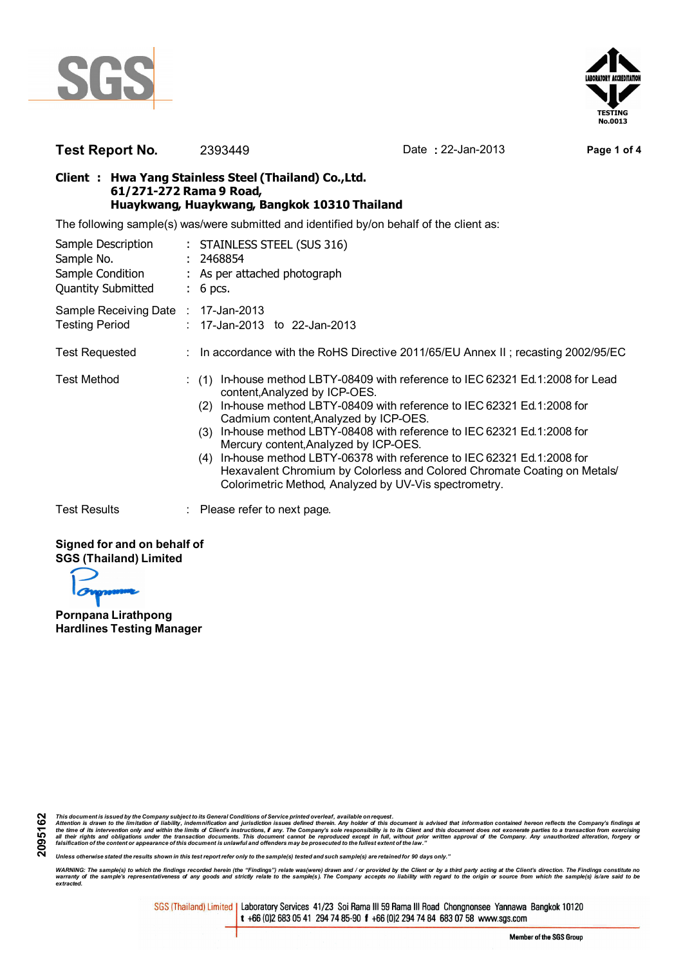



## **Test Report No.** 2393449 Date **:** 22-Jan-2013 **Page 1 of 4**

## **Client : Hwa Yang Stainless Steel (Thailand) Co.,Ltd. 61/271-272 Rama 9 Road, Huaykwang, Huaykwang, Bangkok 10310 Thailand**

The following sample(s) was/were submitted and identified by/on behalf of the client as:

| Sample Description<br>Sample No.<br>Sample Condition<br><b>Quantity Submitted</b> | : STAINLESS STEEL (SUS 316)<br>: 2468854<br>: As per attached photograph<br>$: 6$ pcs.                                                                                                                                                                                                                                                                                                                                                                                                                                                                                               |  |  |  |
|-----------------------------------------------------------------------------------|--------------------------------------------------------------------------------------------------------------------------------------------------------------------------------------------------------------------------------------------------------------------------------------------------------------------------------------------------------------------------------------------------------------------------------------------------------------------------------------------------------------------------------------------------------------------------------------|--|--|--|
| Sample Receiving Date : 17-Jan-2013<br><b>Testing Period</b>                      | : 17-Jan-2013 to 22-Jan-2013                                                                                                                                                                                                                                                                                                                                                                                                                                                                                                                                                         |  |  |  |
| <b>Test Requested</b>                                                             | : In accordance with the RoHS Directive 2011/65/EU Annex II; recasting 2002/95/EC                                                                                                                                                                                                                                                                                                                                                                                                                                                                                                    |  |  |  |
| <b>Test Method</b>                                                                | In-house method LBTY-08409 with reference to IEC 62321 Ed.1:2008 for Lead<br>(1)<br>content, Analyzed by ICP-OES.<br>In-house method LBTY-08409 with reference to IEC 62321 Ed.1:2008 for<br>(2)<br>Cadmium content, Analyzed by ICP-OES.<br>In-house method LBTY-08408 with reference to IEC 62321 Ed.1:2008 for<br>(3)<br>Mercury content, Analyzed by ICP-OES.<br>In-house method LBTY-06378 with reference to IEC 62321 Ed.1:2008 for<br>(4)<br>Hexavalent Chromium by Colorless and Colored Chromate Coating on Metals<br>Colorimetric Method, Analyzed by UV-Vis spectrometry. |  |  |  |
| <b>Test Results</b>                                                               | $\therefore$ Please refer to next page.                                                                                                                                                                                                                                                                                                                                                                                                                                                                                                                                              |  |  |  |

## **Signed for and on behalf of SGS (Thailand) Limited**

**Pornpana Lirathpong Hardlines Testing Manager**

This document is issued by the Company subject to its General Conditions of Service printed overleaf, available on request.<br>Attention is drawn to the limitation of liability, indemnification and purisdiction issues defined

*Unless otherwise stated the results shown in this test report refer only to the sample(s) tested and such sample(s) are retained for 90 days only."*

WARNING: The sample(s) to which the findings recorded herein (the "Findings") relate was(were) drawn and / or provided by the Client or by a third party acting at the Client's direction. The Findings constitute no<br>warranty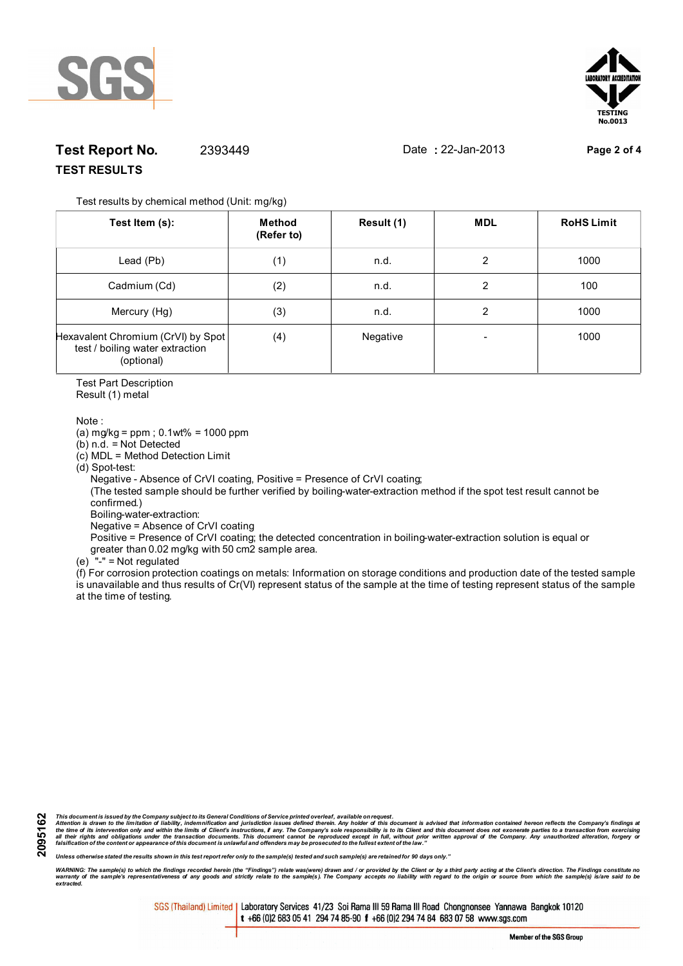



## **Test Report No.** 2393449 Date **:** 22-Jan-2013 **Page 2 of 4 TEST RESULTS**

Test results by chemical method (Unit: mg/kg)

| Test Item (s):                                                                      | Method<br>(Refer to) | Result (1) | <b>MDL</b> | <b>RoHS Limit</b> |
|-------------------------------------------------------------------------------------|----------------------|------------|------------|-------------------|
| Lead (Pb)                                                                           | (1)                  | n.d.       | 2          | 1000              |
| Cadmium (Cd)                                                                        | (2)                  | n.d.       | 2          | 100               |
| Mercury (Hg)                                                                        | (3)                  | n.d.       | 2          | 1000              |
| Hexavalent Chromium (CrVI) by Spot<br>test / boiling water extraction<br>(optional) | (4)                  | Negative   |            | 1000              |

Test Part Description

Result (1) metal

Note :

(a) mg/kg = ppm ; 0.1wt% = 1000 ppm

(b) n.d. = Not Detected

(c) MDL = Method Detection Limit

(d) Spot-test:

Negative - Absence of CrVI coating, Positive = Presence of CrVI coating;

 (The tested sample should be further verified by boiling-water-extraction method if the spot test result cannot be confirmed.)

Boiling-water-extraction:

Negative = Absence of CrVI coating

 Positive = Presence of CrVI coating; the detected concentration in boiling-water-extraction solution is equal or greater than 0.02 mg/kg with 50 cm2 sample area.

(e) "-" = Not regulated

 $\hat{f}$  For corrosion protection coatings on metals: Information on storage conditions and production date of the tested sample is unavailable and thus results of Cr(VI) represent status of the sample at the time of testing represent status of the sample at the time of testing.

**2095162**

This document is issued by the Company subject to its General Conditions of Service printed overleaf, available on request.<br>Attention is drawn to the limitation of liability, indemnification and purisdiction issues defined

*Unless otherwise stated the results shown in this test report refer only to the sample(s) tested and such sample(s) are retained for 90 days only."*

WARNING: The sample(s) to which the findings recorded herein (the "Findings") relate was(were) drawn and / or provided by the Client or by a third party acting at the Client's direction. The Findings constitute no<br>warranty *extracted.*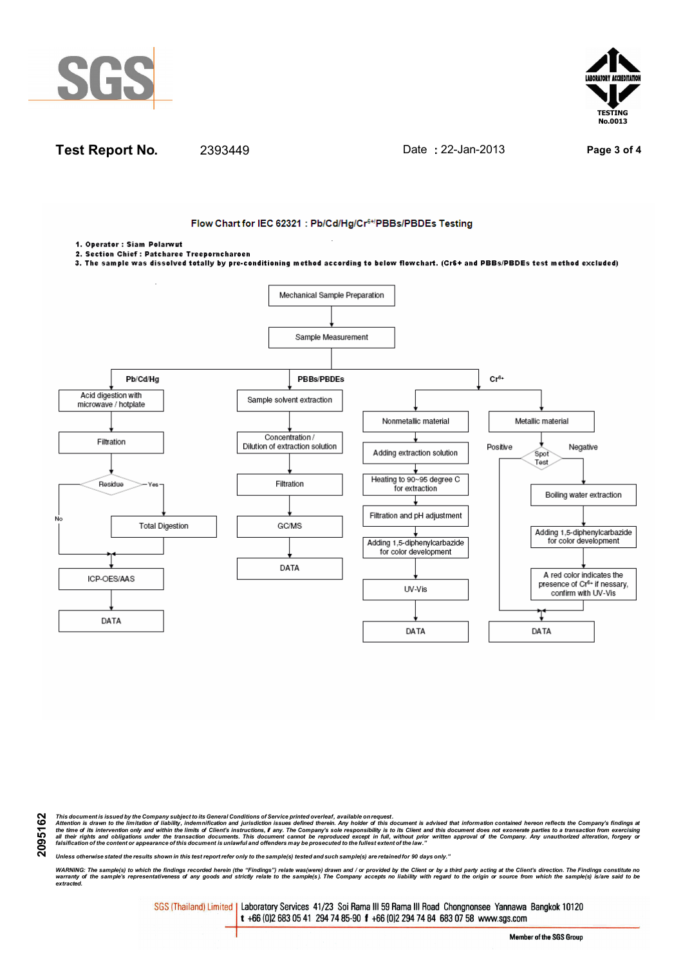





This document is issued by the Company subject to its General Conditions of Service printed overleaf, available on request.<br>Attention is drawn to the limitation of liability, indemnification and purisdiction issues defined

*Unless otherwise stated the results shown in this test report refer only to the sample(s) tested and such sample(s) are retained for 90 days only."*

WARNING: The sample(s) to which the findings recorded herein (the "Findings") relate was(were) drawn and / or provided by the Client or by a third party acting at the Client's direction. The Findings constitute no<br>warranty *extracted.*